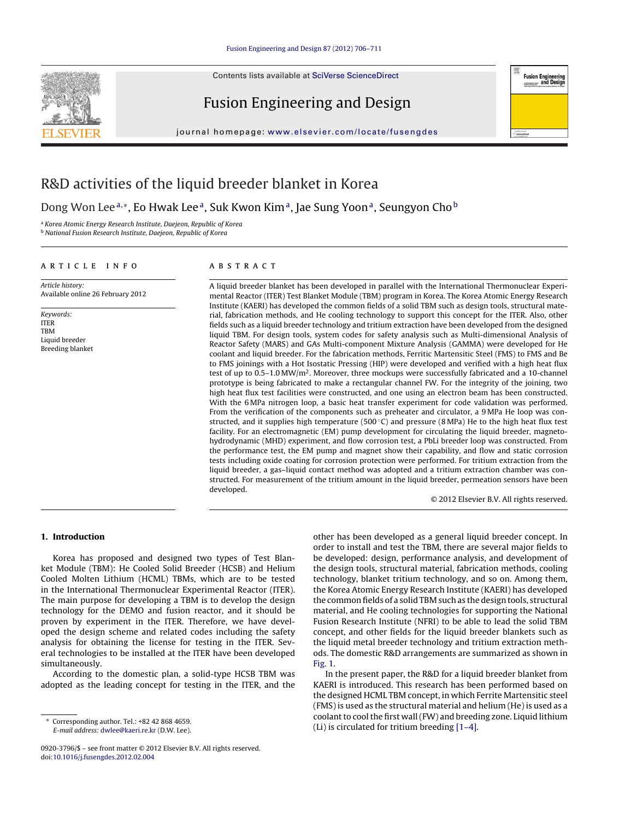Contents lists available at [SciVerse ScienceDirect](http://www.sciencedirect.com/science/journal/09203796)







journal homepage: [www.elsevier.com/locate/fusengdes](http://www.elsevier.com/locate/fusengdes)

## R&D activities of the liquid breeder blanket in Korea

Dong Won Lee<sup>a,∗</sup>, Eo Hwak Lee<sup>a</sup>, Suk Kwon Kim<sup>a</sup>, Jae Sung Yoon<sup>a</sup>, Seungyon Cho<sup>b</sup>

<sup>a</sup> Korea Atomic Energy Research Institute, Daejeon, Republic of Korea

**b National Fusion Research Institute, Daejeon, Republic of Korea** 

#### article info

Article history: Available online 26 February 2012

Keywords: ITER TBM Liquid breeder Breeding blanket

#### ABSTRACT

A liquid breeder blanket has been developed in parallel with the International Thermonuclear Experimental Reactor (ITER) Test Blanket Module (TBM) program in Korea. The Korea Atomic Energy Research Institute (KAERI) has developed the common fields of a solid TBM such as design tools, structural material, fabrication methods, and He cooling technology to support this concept for the ITER. Also, other fields such as a liquid breeder technology and tritium extraction have been developed from the designed liquid TBM. For design tools, system codes for safety analysis such as Multi-dimensional Analysis of Reactor Safety (MARS) and GAs Multi-component Mixture Analysis (GAMMA) were developed for He coolant and liquid breeder. For the fabrication methods, Ferritic Martensitic Steel (FMS) to FMS and Be to FMS joinings with a Hot Isostatic Pressing (HIP) were developed and verified with a high heat flux test of up to 0.5–1.0 MW/ $m<sup>2</sup>$ . Moreover, three mockups were successfully fabricated and a 10-channel prototype is being fabricated to make a rectangular channel FW. For the integrity of the joining, two high heat flux test facilities were constructed, and one using an electron beam has been constructed. With the 6 MPa nitrogen loop, a basic heat transfer experiment for code validation was performed. From the verification of the components such as preheater and circulator, a 9 MPa He loop was constructed, and it supplies high temperature (500 $^{\circ}$ C) and pressure (8 MPa) He to the high heat flux test facility. For an electromagnetic (EM) pump development for circulating the liquid breeder, magnetohydrodynamic (MHD) experiment, and flow corrosion test, a PbLi breeder loop was constructed. From the performance test, the EM pump and magnet show their capability, and flow and static corrosion tests including oxide coating for corrosion protection were performed. For tritium extraction from the liquid breeder, a gas–liquid contact method was adopted and a tritium extraction chamber was constructed. For measurement of the tritium amount in the liquid breeder, permeation sensors have been developed.

© 2012 Elsevier B.V. All rights reserved.

#### **1. Introduction**

Korea has proposed and designed two types of Test Blanket Module (TBM): He Cooled Solid Breeder (HCSB) and Helium Cooled Molten Lithium (HCML) TBMs, which are to be tested in the International Thermonuclear Experimental Reactor (ITER). The main purpose for developing a TBM is to develop the design technology for the DEMO and fusion reactor, and it should be proven by experiment in the ITER. Therefore, we have developed the design scheme and related codes including the safety analysis for obtaining the license for testing in the ITER. Several technologies to be installed at the ITER have been developed simultaneously.

According to the domestic plan, a solid-type HCSB TBM was adopted as the leading concept for testing in the ITER, and the

other has been developed as a general liquid breeder concept. In order to install and test the TBM, there are several major fields to be developed: design, performance analysis, and development of the design tools, structural material, fabrication methods, cooling technology, blanket tritium technology, and so on. Among them, the Korea Atomic Energy Research Institute (KAERI) has developed the common fields of a solid TBM such as the design tools, structural material, and He cooling technologies for supporting the National Fusion Research Institute (NFRI) to be able to lead the solid TBM concept, and other fields for the liquid breeder blankets such as the liquid metal breeder technology and tritium extraction methods. The domestic R&D arrangements are summarized as shown in [Fig. 1.](#page-1-0)

In the present paper, the R&D for a liquid breeder blanket from KAERI is introduced. This research has been performed based on the designed HCML TBM concept, in which Ferrite Martensitic steel (FMS) is used as the structural material and helium (He) is used as a coolant to cool the first wall (FW) and breeding zone. Liquid lithium (Li) is circulated for tritium breeding [\[1–4\].](#page--1-0)

<sup>∗</sup> Corresponding author. Tel.: +82 42 868 4659. E-mail address: [dwlee@kaeri.re.kr](mailto:dwlee@kaeri.re.kr) (D.W. Lee).

<sup>0920-3796/\$ –</sup> see front matter © 2012 Elsevier B.V. All rights reserved. doi:[10.1016/j.fusengdes.2012.02.004](dx.doi.org/10.1016/j.fusengdes.2012.02.004)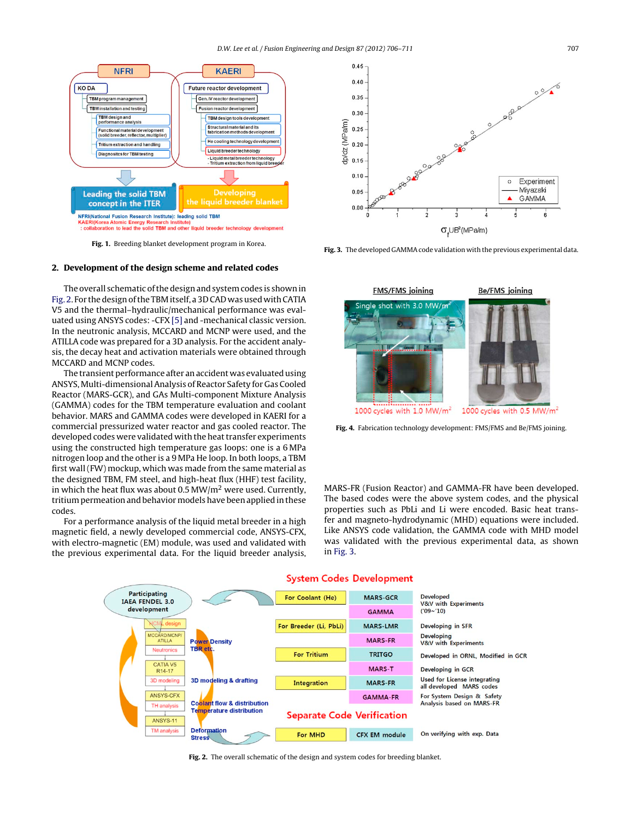<span id="page-1-0"></span>

**Fig. 1.** Breeding blanket development program in Korea.

### **2. Development of the design scheme and related codes**

The overall schematic of the design and system codes is shown in Fig. 2. For the design of the TBM itself, a 3D CAD was used with CATIA V5 and the thermal–hydraulic/mechanical performance was evaluated using ANSYS codes: -CFX [\[5\]](#page--1-0) and -mechanical classic version. In the neutronic analysis, MCCARD and MCNP were used, and the ATILLA code was prepared for a 3D analysis. For the accident analysis, the decay heat and activation materials were obtained through MCCARD and MCNP codes.

The transient performance after an accident was evaluated using ANSYS, Multi-dimensional Analysis of Reactor Safety for Gas Cooled Reactor (MARS-GCR), and GAs Multi-component Mixture Analysis (GAMMA) codes for the TBM temperature evaluation and coolant behavior. MARS and GAMMA codes were developed in KAERI for a commercial pressurized water reactor and gas cooled reactor. The developed codes were validated with the heat transfer experiments using the constructed high temperature gas loops: one is a 6 MPa nitrogen loop and the other is a 9 MPa He loop. In both loops, a TBM first wall (FW) mockup, which was made from the same material as the designed TBM, FM steel, and high-heat flux (HHF) test facility, in which the heat flux was about 0.5 MW/ $m<sup>2</sup>$  were used. Currently, tritium permeation and behavior models have been applied in these codes.

For a performance analysis of the liquid metal breeder in a high magnetic field, a newly developed commercial code, ANSYS-CFX, with electro-magnetic (EM) module, was used and validated with the previous experimental data. For the liquid breeder analysis,



**Fig. 3.** The developed GAMMA code validation with the previous experimental data.



**Fig. 4.** Fabrication technology development: FMS/FMS and Be/FMS joining.

MARS-FR (Fusion Reactor) and GAMMA-FR have been developed. The based codes were the above system codes, and the physical properties such as PbLi and Li were encoded. Basic heat transfer and magneto-hydrodynamic (MHD) equations were included. Like ANSYS code validation, the GAMMA code with MHD model was validated with the previous experimental data, as shown in Fig. 3.



#### **System Codes Development**

**Fig. 2.** The overall schematic of the design and system codes for breeding blanket.